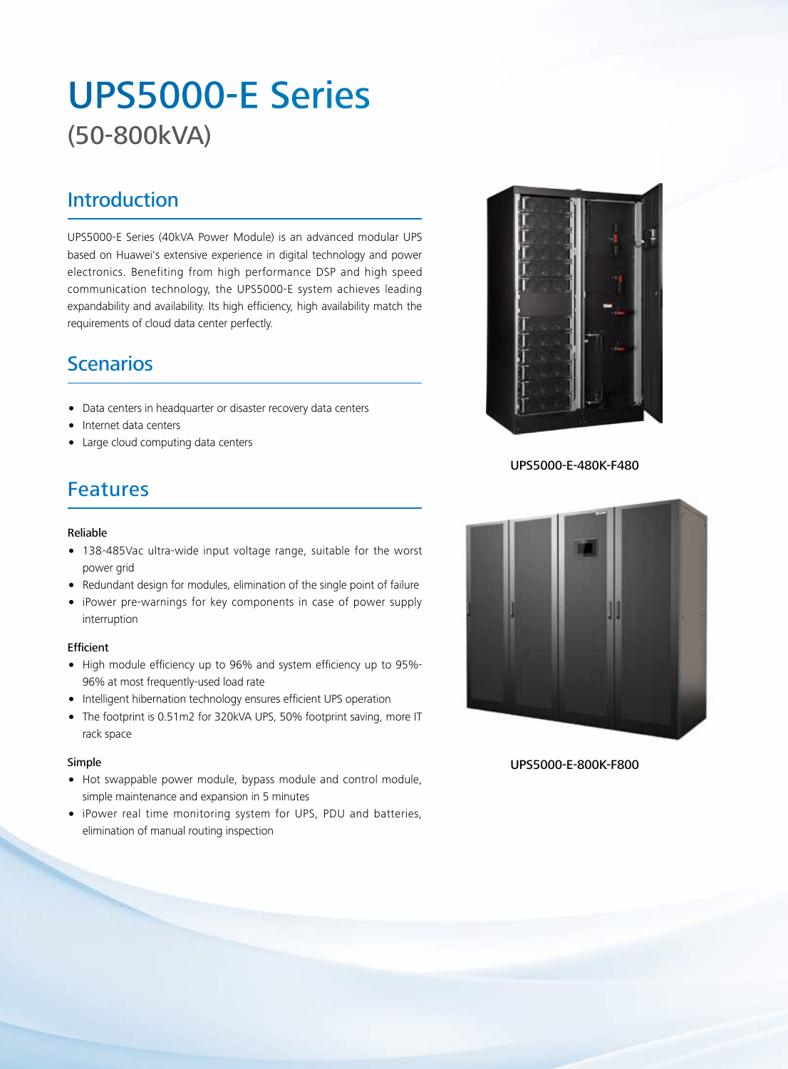# UPS5000-E Series (50-800kVA)

### Introduction

UPS5000-E Series (40kVA Power Module) is an advanced modular UPS based on Huawei's extensive experience in digital technology and power electronics. Benefiting from high performance DSP and high speed communication technology, the UPS5000-E system achieves leading expandability and availability. Its high efficiency, high availability match the requirements of cloud data center perfectly.

## Scenarios

- Data centers in headquarter or disaster recovery data centers
- Internet data centers
- Large cloud computing data centers

## Features

#### Reliable

- 138-485Vac ultra-wide input voltage range, suitable for the worst power grid
- Redundant design for modules, elimination of the single point of failure
- iPower pre-warnings for key components in case of power supply interruption

#### Efficient

- High module efficiency up to 96% and system efficiency up to 95%- 96% at most frequently-used load rate
- Intelligent hibernation technology ensures efficient UPS operation
- The footprint is 0.51m2 for 320kVA UPS, 50% footprint saving, more IT rack space

#### Simple

- Hot swappable power module, bypass module and control module, simple maintenance and expansion in 5 minutes
- iPower real time monitoring system for UPS, PDU and batteries, elimination of manual routing inspection



UPS5000-E-480K-F480



UPS5000-E-800K-F800